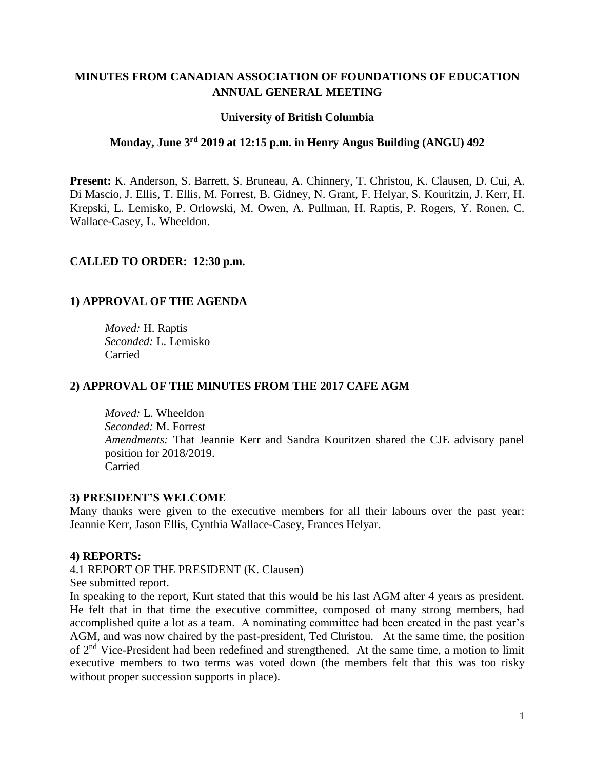# **MINUTES FROM CANADIAN ASSOCIATION OF FOUNDATIONS OF EDUCATION ANNUAL GENERAL MEETING**

#### **University of British Columbia**

#### **Monday, June 3 rd 2019 at 12:15 p.m. in Henry Angus Building (ANGU) 492**

**Present:** K. Anderson, S. Barrett, S. Bruneau, A. Chinnery, T. Christou, K. Clausen, D. Cui, A. Di Mascio, J. Ellis, T. Ellis, M. Forrest, B. Gidney, N. Grant, F. Helyar, S. Kouritzin, J. Kerr, H. Krepski, L. Lemisko, P. Orlowski, M. Owen, A. Pullman, H. Raptis, P. Rogers, Y. Ronen, C. Wallace-Casey, L. Wheeldon.

#### **CALLED TO ORDER: 12:30 p.m.**

# **1) APPROVAL OF THE AGENDA**

*Moved:* H. Raptis *Seconded:* L. Lemisko Carried

#### **2) APPROVAL OF THE MINUTES FROM THE 2017 CAFE AGM**

*Moved:* L. Wheeldon *Seconded:* M. Forrest *Amendments:* That Jeannie Kerr and Sandra Kouritzen shared the CJE advisory panel position for 2018/2019. Carried

#### **3) PRESIDENT'S WELCOME**

Many thanks were given to the executive members for all their labours over the past year: Jeannie Kerr, Jason Ellis, Cynthia Wallace-Casey, Frances Helyar.

#### **4) REPORTS:**

4.1 REPORT OF THE PRESIDENT (K. Clausen)

See submitted report.

In speaking to the report, Kurt stated that this would be his last AGM after 4 years as president. He felt that in that time the executive committee, composed of many strong members, had accomplished quite a lot as a team. A nominating committee had been created in the past year's AGM, and was now chaired by the past-president, Ted Christou. At the same time, the position of 2nd Vice-President had been redefined and strengthened. At the same time, a motion to limit executive members to two terms was voted down (the members felt that this was too risky without proper succession supports in place).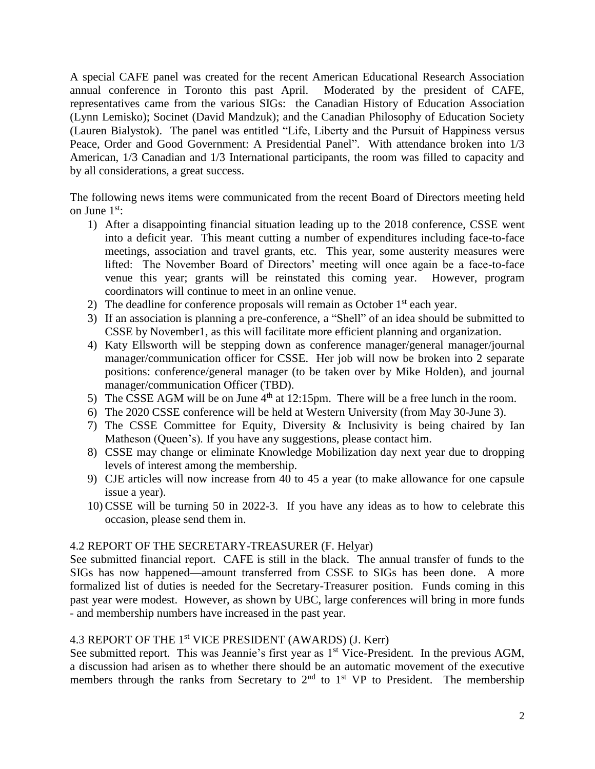A special CAFE panel was created for the recent American Educational Research Association annual conference in Toronto this past April. Moderated by the president of CAFE, representatives came from the various SIGs: the Canadian History of Education Association (Lynn Lemisko); Socinet (David Mandzuk); and the Canadian Philosophy of Education Society (Lauren Bialystok). The panel was entitled "Life, Liberty and the Pursuit of Happiness versus Peace, Order and Good Government: A Presidential Panel". With attendance broken into 1/3 American, 1/3 Canadian and 1/3 International participants, the room was filled to capacity and by all considerations, a great success.

The following news items were communicated from the recent Board of Directors meeting held on June  $1<sup>st</sup>$ :

- 1) After a disappointing financial situation leading up to the 2018 conference, CSSE went into a deficit year. This meant cutting a number of expenditures including face-to-face meetings, association and travel grants, etc. This year, some austerity measures were lifted: The November Board of Directors' meeting will once again be a face-to-face venue this year; grants will be reinstated this coming year. However, program coordinators will continue to meet in an online venue.
- 2) The deadline for conference proposals will remain as October  $1<sup>st</sup>$  each year.
- 3) If an association is planning a pre-conference, a "Shell" of an idea should be submitted to CSSE by November1, as this will facilitate more efficient planning and organization.
- 4) Katy Ellsworth will be stepping down as conference manager/general manager/journal manager/communication officer for CSSE. Her job will now be broken into 2 separate positions: conference/general manager (to be taken over by Mike Holden), and journal manager/communication Officer (TBD).
- 5) The CSSE AGM will be on June  $4<sup>th</sup>$  at 12:15pm. There will be a free lunch in the room.
- 6) The 2020 CSSE conference will be held at Western University (from May 30-June 3).
- 7) The CSSE Committee for Equity, Diversity & Inclusivity is being chaired by Ian Matheson (Queen's). If you have any suggestions, please contact him.
- 8) CSSE may change or eliminate Knowledge Mobilization day next year due to dropping levels of interest among the membership.
- 9) CJE articles will now increase from 40 to 45 a year (to make allowance for one capsule issue a year).
- 10)CSSE will be turning 50 in 2022-3. If you have any ideas as to how to celebrate this occasion, please send them in.

#### 4.2 REPORT OF THE SECRETARY-TREASURER (F. Helyar)

See submitted financial report. CAFE is still in the black. The annual transfer of funds to the SIGs has now happened—amount transferred from CSSE to SIGs has been done. A more formalized list of duties is needed for the Secretary-Treasurer position. Funds coming in this past year were modest. However, as shown by UBC, large conferences will bring in more funds - and membership numbers have increased in the past year.

#### 4.3 REPORT OF THE 1st VICE PRESIDENT (AWARDS) (J. Kerr)

See submitted report. This was Jeannie's first year as 1<sup>st</sup> Vice-President. In the previous AGM, a discussion had arisen as to whether there should be an automatic movement of the executive members through the ranks from Secretary to  $2<sup>nd</sup>$  to  $1<sup>st</sup>$  VP to President. The membership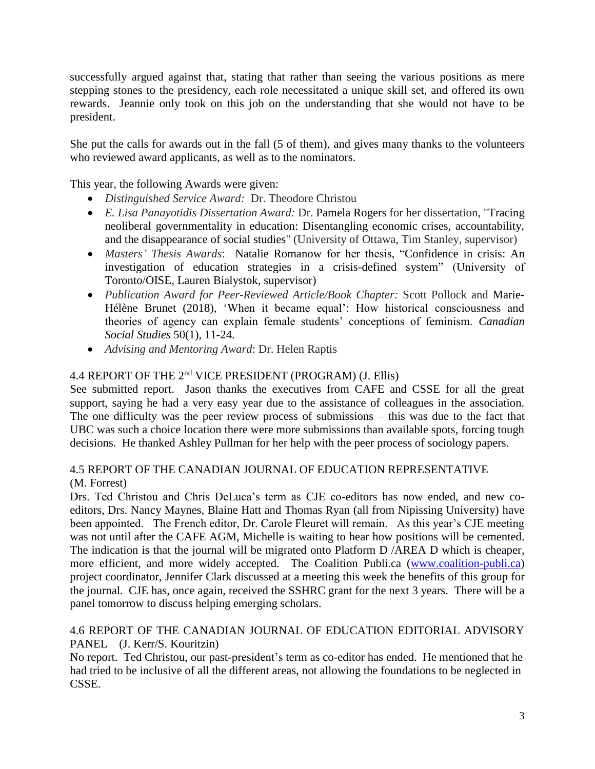successfully argued against that, stating that rather than seeing the various positions as mere stepping stones to the presidency, each role necessitated a unique skill set, and offered its own rewards. Jeannie only took on this job on the understanding that she would not have to be president.

She put the calls for awards out in the fall (5 of them), and gives many thanks to the volunteers who reviewed award applicants, as well as to the nominators.

This year, the following Awards were given:

- *Distinguished Service Award:* Dr. Theodore Christou
- *E. Lisa Panayotidis Dissertation Award:* Dr. Pamela Rogers for her dissertation, "Tracing neoliberal governmentality in education: Disentangling economic crises, accountability, and the disappearance of social studies" (University of Ottawa, Tim Stanley, supervisor)
- *Masters' Thesis Awards*: Natalie Romanow for her thesis, "Confidence in crisis: An investigation of education strategies in a crisis-defined system" (University of Toronto/OISE, Lauren Bialystok, supervisor)
- *Publication Award for Peer-Reviewed Article/Book Chapter:* Scott Pollock and Marie-Hélène Brunet (2018), 'When it became equal': How historical consciousness and theories of agency can explain female students' conceptions of feminism. *Canadian Social Studies* 50(1), 11-24.
- *Advising and Mentoring Award*: Dr. Helen Raptis

# 4.4 REPORT OF THE 2nd VICE PRESIDENT (PROGRAM) (J. Ellis)

See submitted report. Jason thanks the executives from CAFE and CSSE for all the great support, saying he had a very easy year due to the assistance of colleagues in the association. The one difficulty was the peer review process of submissions – this was due to the fact that UBC was such a choice location there were more submissions than available spots, forcing tough decisions. He thanked Ashley Pullman for her help with the peer process of sociology papers.

#### 4.5 REPORT OF THE CANADIAN JOURNAL OF EDUCATION REPRESENTATIVE (M. Forrest)

Drs. Ted Christou and Chris DeLuca's term as CJE co-editors has now ended, and new coeditors, Drs. Nancy Maynes, Blaine Hatt and Thomas Ryan (all from Nipissing University) have been appointed. The French editor, Dr. Carole Fleuret will remain. As this year's CJE meeting was not until after the CAFE AGM, Michelle is waiting to hear how positions will be cemented. The indication is that the journal will be migrated onto Platform D /AREA D which is cheaper, more efficient, and more widely accepted. The Coalition Publi.ca [\(www.coalition-publi.ca\)](http://www.coalition-publi.ca/) project coordinator, Jennifer Clark discussed at a meeting this week the benefits of this group for the journal. CJE has, once again, received the SSHRC grant for the next 3 years. There will be a panel tomorrow to discuss helping emerging scholars.

#### 4.6 REPORT OF THE CANADIAN JOURNAL OF EDUCATION EDITORIAL ADVISORY PANEL (J. Kerr/S. Kouritzin)

No report. Ted Christou, our past-president's term as co-editor has ended. He mentioned that he had tried to be inclusive of all the different areas, not allowing the foundations to be neglected in CSSE.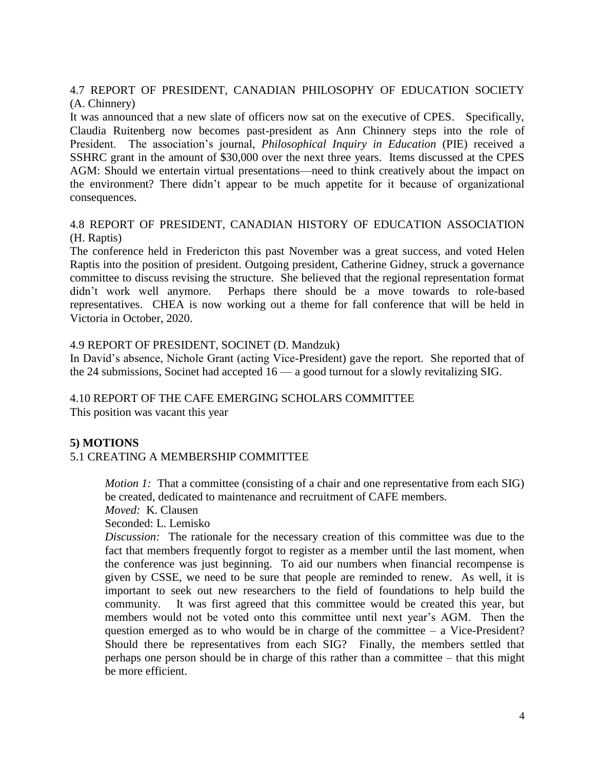# 4.7 REPORT OF PRESIDENT, CANADIAN PHILOSOPHY OF EDUCATION SOCIETY (A. Chinnery)

It was announced that a new slate of officers now sat on the executive of CPES. Specifically, Claudia Ruitenberg now becomes past-president as Ann Chinnery steps into the role of President. The association's journal, *Philosophical Inquiry in Education* (PIE) received a SSHRC grant in the amount of \$30,000 over the next three years. Items discussed at the CPES AGM: Should we entertain virtual presentations—need to think creatively about the impact on the environment? There didn't appear to be much appetite for it because of organizational consequences.

# 4.8 REPORT OF PRESIDENT, CANADIAN HISTORY OF EDUCATION ASSOCIATION (H. Raptis)

The conference held in Fredericton this past November was a great success, and voted Helen Raptis into the position of president. Outgoing president, Catherine Gidney, struck a governance committee to discuss revising the structure. She believed that the regional representation format didn't work well anymore. Perhaps there should be a move towards to role-based representatives. CHEA is now working out a theme for fall conference that will be held in Victoria in October, 2020.

#### 4.9 REPORT OF PRESIDENT, SOCINET (D. Mandzuk)

In David's absence, Nichole Grant (acting Vice-President) gave the report. She reported that of the 24 submissions, Socinet had accepted 16 — a good turnout for a slowly revitalizing SIG.

# 4.10 REPORT OF THE CAFE EMERGING SCHOLARS COMMITTEE

This position was vacant this year

# **5) MOTIONS**

# 5.1 CREATING A MEMBERSHIP COMMITTEE

*Motion 1:* That a committee (consisting of a chair and one representative from each SIG) be created, dedicated to maintenance and recruitment of CAFE members.

*Moved:* K. Clausen

Seconded: L. Lemisko

*Discussion:* The rationale for the necessary creation of this committee was due to the fact that members frequently forgot to register as a member until the last moment, when the conference was just beginning. To aid our numbers when financial recompense is given by CSSE, we need to be sure that people are reminded to renew. As well, it is important to seek out new researchers to the field of foundations to help build the community. It was first agreed that this committee would be created this year, but members would not be voted onto this committee until next year's AGM. Then the question emerged as to who would be in charge of the committee – a Vice-President? Should there be representatives from each SIG? Finally, the members settled that perhaps one person should be in charge of this rather than a committee – that this might be more efficient.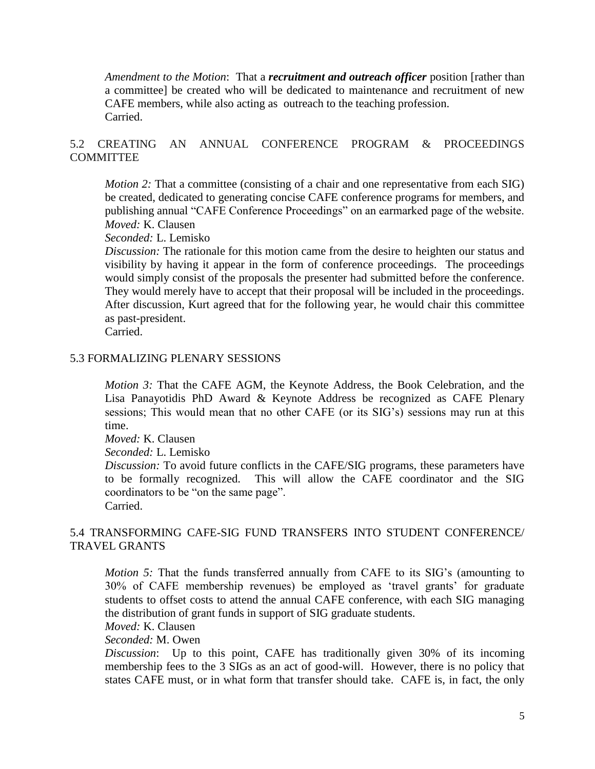*Amendment to the Motion*: That a *recruitment and outreach officer* position [rather than a committee] be created who will be dedicated to maintenance and recruitment of new CAFE members, while also acting as outreach to the teaching profession. Carried.

# 5.2 CREATING AN ANNUAL CONFERENCE PROGRAM & PROCEEDINGS **COMMITTEE**

*Motion 2:* That a committee (consisting of a chair and one representative from each SIG) be created, dedicated to generating concise CAFE conference programs for members, and publishing annual "CAFE Conference Proceedings" on an earmarked page of the website. *Moved:* K. Clausen

*Seconded:* L. Lemisko

*Discussion:* The rationale for this motion came from the desire to heighten our status and visibility by having it appear in the form of conference proceedings. The proceedings would simply consist of the proposals the presenter had submitted before the conference. They would merely have to accept that their proposal will be included in the proceedings. After discussion, Kurt agreed that for the following year, he would chair this committee as past-president.

Carried.

#### 5.3 FORMALIZING PLENARY SESSIONS

*Motion 3:* That the CAFE AGM, the Keynote Address, the Book Celebration, and the Lisa Panayotidis PhD Award & Keynote Address be recognized as CAFE Plenary sessions; This would mean that no other CAFE (or its SIG's) sessions may run at this time.

*Moved:* K. Clausen

*Seconded:* L. Lemisko

*Discussion:* To avoid future conflicts in the CAFE/SIG programs, these parameters have to be formally recognized. This will allow the CAFE coordinator and the SIG coordinators to be "on the same page".

Carried.

#### 5.4 TRANSFORMING CAFE-SIG FUND TRANSFERS INTO STUDENT CONFERENCE/ TRAVEL GRANTS

*Motion 5:* That the funds transferred annually from CAFE to its SIG's (amounting to 30% of CAFE membership revenues) be employed as 'travel grants' for graduate students to offset costs to attend the annual CAFE conference, with each SIG managing the distribution of grant funds in support of SIG graduate students.

*Moved:* K. Clausen

#### *Seconded:* M. Owen

*Discussion*: Up to this point, CAFE has traditionally given 30% of its incoming membership fees to the 3 SIGs as an act of good-will. However, there is no policy that states CAFE must, or in what form that transfer should take. CAFE is, in fact, the only